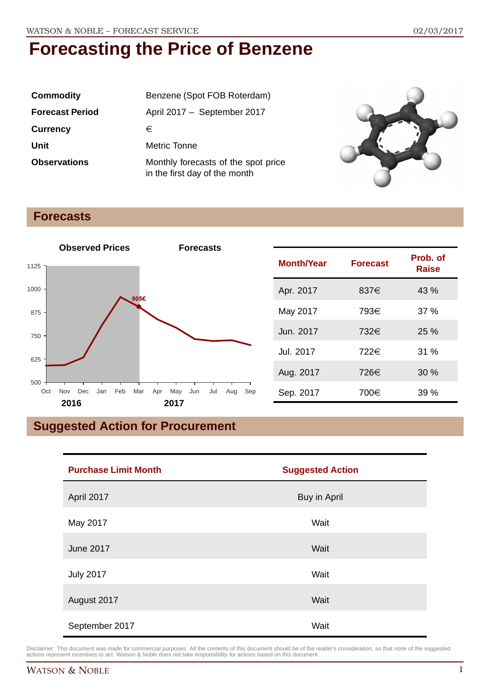| <b>Commodity</b>       | Benzene (Spot FOB Roterdam)                                          |  |
|------------------------|----------------------------------------------------------------------|--|
| <b>Forecast Period</b> | April 2017 - September 2017                                          |  |
| <b>Currency</b>        | €                                                                    |  |
| Unit                   | Metric Tonne                                                         |  |
| <b>Observations</b>    | Monthly forecasts of the spot price<br>in the first day of the month |  |



## **Forecasts**



| <b>Month/Year</b> | <b>Forecast</b> | Prob. of<br><b>Raise</b> |
|-------------------|-----------------|--------------------------|
| Apr. 2017         | 837€            | 43 %                     |
| May 2017          | 793€            | 37%                      |
| Jun. 2017         | 732€            | 25%                      |
| Jul. 2017         | 722€            | 31%                      |
| Aug. 2017         | 726€            | 30%                      |
| Sep. 2017         | 700€            | 39%                      |

# **Suggested Action for Procurement**

| <b>Purchase Limit Month</b> | <b>Suggested Action</b> |
|-----------------------------|-------------------------|
| April 2017                  | <b>Buy in April</b>     |
| May 2017                    | Wait                    |
| <b>June 2017</b>            | Wait                    |
| <b>July 2017</b>            | Wait                    |
| August 2017                 | Wait                    |
| September 2017              | Wait                    |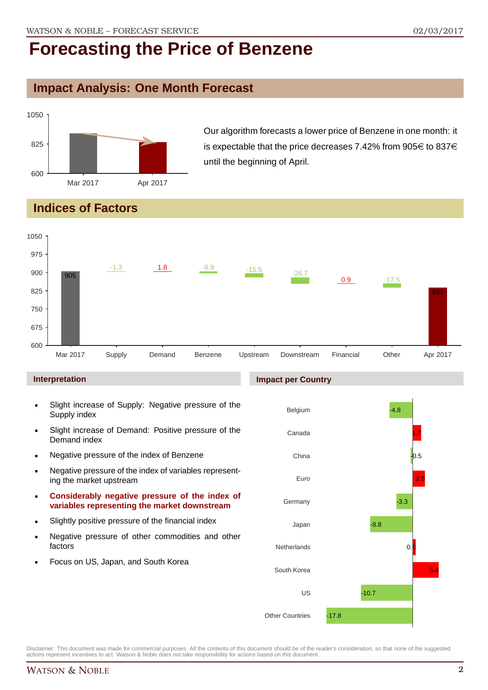### **Impact Analysis: One Month Forecast**



Our algorithm forecasts a lower price of Benzene in one month: it is expectable that the price decreases 7.42% from 905 $\in$  to 837 $\in$ until the beginning of April.

## **Indices of Factors**



#### **Interpretation**

- Slight increase of Supply: Negative pressure of the Supply index
- Slight increase of Demand: Positive pressure of the Demand index
- **Negative pressure of the index of Benzene**
- Negative pressure of the index of variables representing the market upstream
- **Considerably negative pressure of the index of variables representing the market downstream**
- Slightly positive pressure of the financial index
- **Negative pressure of other commodities and other** factors
- Focus on US, Japan, and South Korea

#### **Impact per Country**

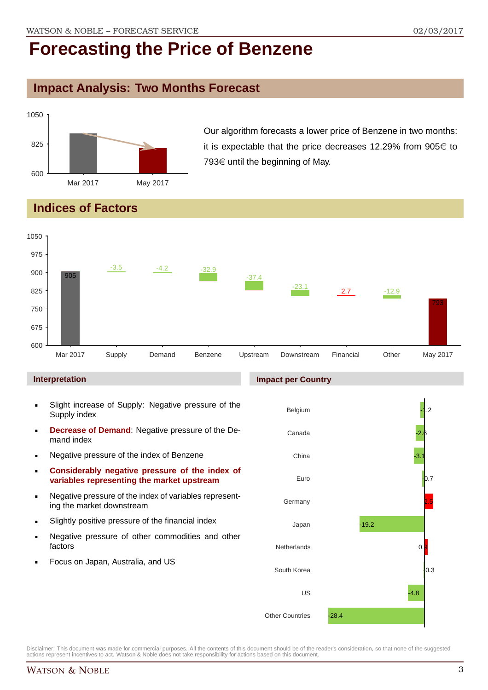## **Impact Analysis: Two Months Forecast**



Our algorithm forecasts a lower price of Benzene in two months: it is expectable that the price decreases 12.29% from 905 $\in$  to 793 $\in$  until the beginning of May.

# **Indices of Factors**



#### **Interpretation**

- Slight increase of Supply: Negative pressure of the Supply index
- **Decrease of Demand**: Negative pressure of the Demand index
- **Negative pressure of the index of Benzene**
- **Considerably negative pressure of the index of variables representing the market upstream**
- Negative pressure of the index of variables representing the market downstream
- Slightly positive pressure of the financial index
- **Negative pressure of other commodities and other** factors
- Focus on Japan, Australia, and US

#### **Impact per Country**

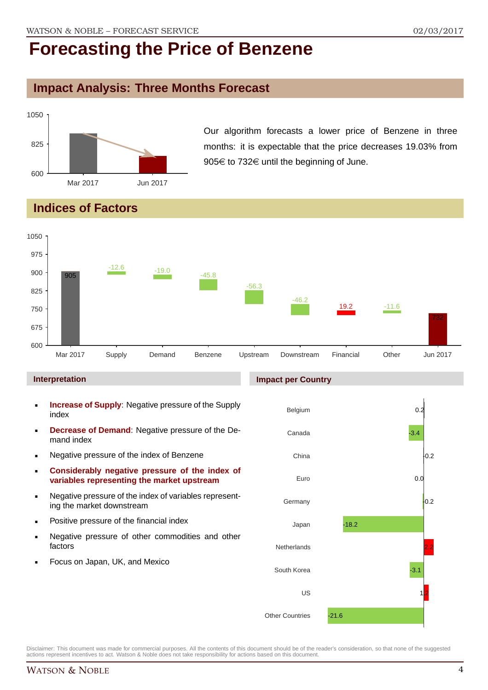## **Impact Analysis: Three Months Forecast**



Our algorithm forecasts a lower price of Benzene in three months: it is expectable that the price decreases 19.03% from 905€ to 732€ until the beginning of June.

# **Indices of Factors**



#### **Interpretation**

- **Increase of Supply**: Negative pressure of the Supply index
- **Decrease of Demand**: Negative pressure of the Demand index
- **Negative pressure of the index of Benzene**
- **Considerably negative pressure of the index of variables representing the market upstream**
- Negative pressure of the index of variables representing the market downstream
- **•** Positive pressure of the financial index
- **Negative pressure of other commodities and other** factors
- Focus on Japan, UK, and Mexico

#### **Impact per Country**

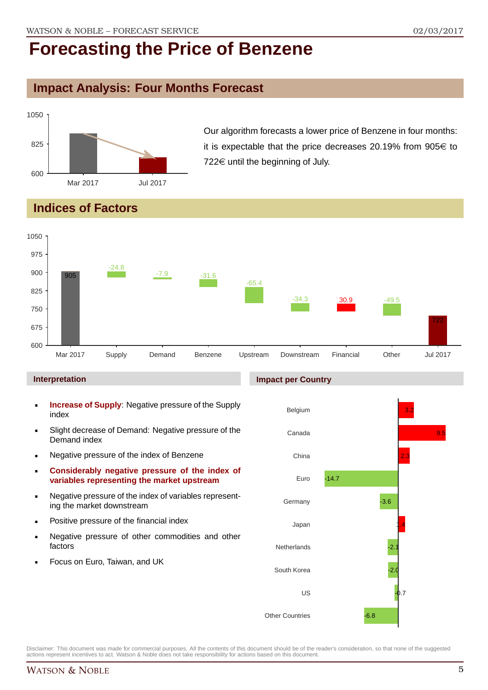## **Impact Analysis: Four Months Forecast**



Our algorithm forecasts a lower price of Benzene in four months: it is expectable that the price decreases 20.19% from 905 $\in$  to  $722 \in$  until the beginning of July.

# **Indices of Factors**



#### **Interpretation**

- **Increase of Supply**: Negative pressure of the Supply index
- Slight decrease of Demand: Negative pressure of the Demand index
- **Negative pressure of the index of Benzene**
- **Considerably negative pressure of the index of variables representing the market upstream**
- Negative pressure of the index of variables representing the market downstream
- **•** Positive pressure of the financial index
- **Negative pressure of other commodities and other** factors
- Focus on Euro, Taiwan, and UK

#### **Impact per Country**

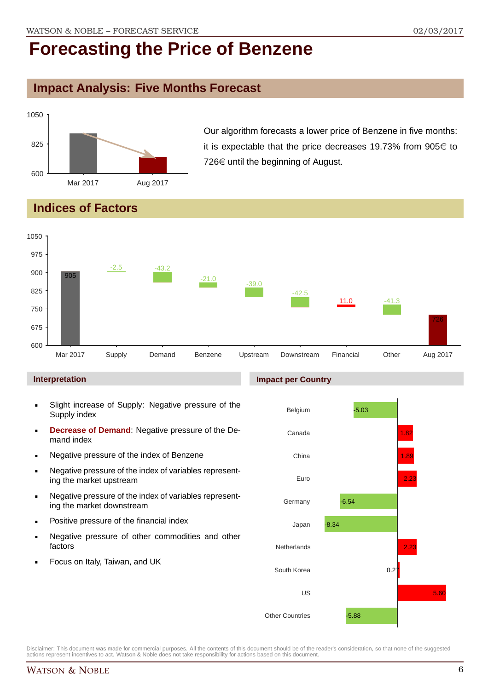## **Impact Analysis: Five Months Forecast**



Our algorithm forecasts a lower price of Benzene in five months: it is expectable that the price decreases 19.73% from 905 $\in$  to  $726 \in \mathbb{C}$  until the beginning of August.

# **Indices of Factors**



#### **Interpretation**

- Slight increase of Supply: Negative pressure of the Supply index
- **Decrease of Demand**: Negative pressure of the Demand index
- **Negative pressure of the index of Benzene**
- Negative pressure of the index of variables representing the market upstream
- Negative pressure of the index of variables representing the market downstream
- **•** Positive pressure of the financial index
- **Negative pressure of other commodities and other** factors
- Focus on Italy, Taiwan, and UK

#### **Impact per Country**

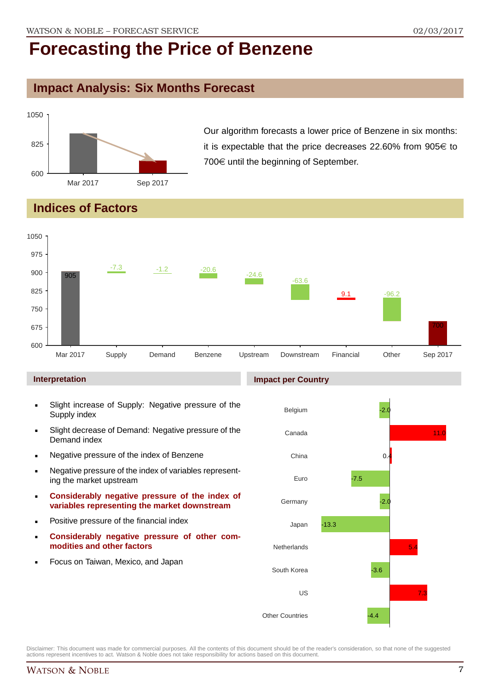## **Impact Analysis: Six Months Forecast**



Our algorithm forecasts a lower price of Benzene in six months: it is expectable that the price decreases 22.60% from 905 $\in$  to  $700 \in$  until the beginning of September.

## **Indices of Factors**



#### **Interpretation**

- Slight increase of Supply: Negative pressure of the Supply index
- Slight decrease of Demand: Negative pressure of the Demand index
- **Negative pressure of the index of Benzene**
- Negative pressure of the index of variables representing the market upstream
- **Considerably negative pressure of the index of variables representing the market downstream**
- **•** Positive pressure of the financial index
- **Considerably negative pressure of other commodities and other factors**
- Focus on Taiwan, Mexico, and Japan

#### **Impact per Country**

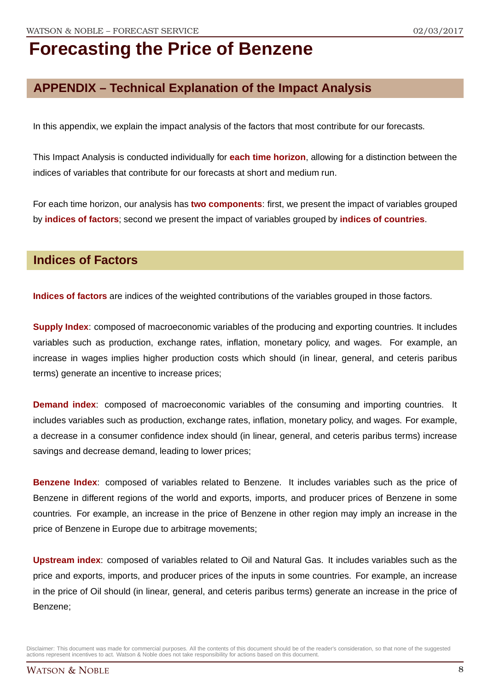# **APPENDIX – Technical Explanation of the Impact Analysis**

In this appendix, we explain the impact analysis of the factors that most contribute for our forecasts.

This Impact Analysis is conducted individually for **each time horizon**, allowing for a distinction between the indices of variables that contribute for our forecasts at short and medium run.

For each time horizon, our analysis has **two components**: first, we present the impact of variables grouped by **indices of factors**; second we present the impact of variables grouped by **indices of countries**.

### **Indices of Factors**

**Indices of factors** are indices of the weighted contributions of the variables grouped in those factors.

**Supply Index**: composed of macroeconomic variables of the producing and exporting countries. It includes variables such as production, exchange rates, inflation, monetary policy, and wages. For example, an increase in wages implies higher production costs which should (in linear, general, and ceteris paribus terms) generate an incentive to increase prices;

**Demand index**: composed of macroeconomic variables of the consuming and importing countries. It includes variables such as production, exchange rates, inflation, monetary policy, and wages. For example, a decrease in a consumer confidence index should (in linear, general, and ceteris paribus terms) increase savings and decrease demand, leading to lower prices;

**Benzene Index**: composed of variables related to Benzene. It includes variables such as the price of Benzene in different regions of the world and exports, imports, and producer prices of Benzene in some countries. For example, an increase in the price of Benzene in other region may imply an increase in the price of Benzene in Europe due to arbitrage movements;

**Upstream index**: composed of variables related to Oil and Natural Gas. It includes variables such as the price and exports, imports, and producer prices of the inputs in some countries. For example, an increase in the price of Oil should (in linear, general, and ceteris paribus terms) generate an increase in the price of Benzene;